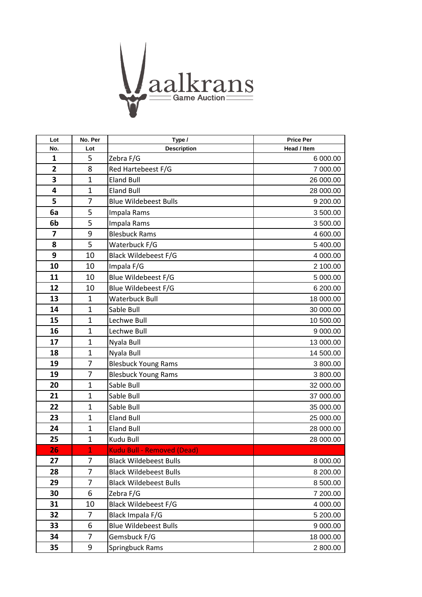## $n_{\text{trans}}$  $\blacksquare$  $\frac{1}{2}$  $\equiv$  Game Auction:

| Lot            | No. Per        | Type /                            | <b>Price Per</b> |
|----------------|----------------|-----------------------------------|------------------|
| No.            | Lot            | <b>Description</b>                | Head / Item      |
| 1              | 5              | Zebra F/G                         | 6 000.00         |
| $\overline{2}$ | 8              | Red Hartebeest F/G                | 7 000.00         |
| 3              | $\mathbf{1}$   | <b>Eland Bull</b>                 | 26 000.00        |
| 4              | $\mathbf{1}$   | <b>Eland Bull</b>                 | 28 000.00        |
| 5              | 7              | <b>Blue Wildebeest Bulls</b>      | 9 200.00         |
| 6a             | 5              | Impala Rams                       | 3 500.00         |
| 6b             | 5              | Impala Rams                       | 3 500.00         |
| 7              | 9              | <b>Blesbuck Rams</b>              | 4 600.00         |
| 8              | 5              | Waterbuck F/G                     | 5 400.00         |
| 9              | 10             | <b>Black Wildebeest F/G</b>       | 4 000.00         |
| 10             | 10             | Impala F/G                        | 2 100.00         |
| 11             | 10             | Blue Wildebeest F/G               | 5 000.00         |
| 12             | 10             | Blue Wildebeest F/G               | 6 200.00         |
| 13             | 1              | Waterbuck Bull                    | 18 000.00        |
| 14             | $\mathbf{1}$   | Sable Bull                        | 30 000.00        |
| 15             | 1              | Lechwe Bull                       | 10 500.00        |
| 16             | $\mathbf 1$    | Lechwe Bull                       | 9 000.00         |
| 17             | $\mathbf 1$    | Nyala Bull                        | 13 000.00        |
| 18             | $\mathbf 1$    | Nyala Bull                        | 14 500.00        |
| 19             | $\overline{7}$ | <b>Blesbuck Young Rams</b>        | 3 800.00         |
| 19             | $\overline{7}$ | <b>Blesbuck Young Rams</b>        | 3 800.00         |
| 20             | $\mathbf 1$    | Sable Bull                        | 32 000.00        |
| 21             | $\mathbf 1$    | Sable Bull                        | 37 000.00        |
| 22             | $\mathbf 1$    | Sable Bull                        | 35 000.00        |
| 23             | $\mathbf{1}$   | <b>Eland Bull</b>                 | 25 000.00        |
| 24             | $\mathbf{1}$   | <b>Eland Bull</b>                 | 28 000.00        |
| 25             | 1              | Kudu Bull                         | 28 000.00        |
| 26             | $\overline{1}$ | <b>Kudu Bull - Removed (Dead)</b> |                  |
| 27             | 7              | <b>Black Wildebeest Bulls</b>     | 8 000.00         |
| 28             | 7              | <b>Black Wildebeest Bulls</b>     | 8 200.00         |
| 29             | 7              | <b>Black Wildebeest Bulls</b>     | 8 500.00         |
| 30             | 6              | Zebra F/G                         | 7 200.00         |
| 31             | 10             | <b>Black Wildebeest F/G</b>       | 4 000.00         |
| 32             | 7              | Black Impala F/G                  | 5 200.00         |
| 33             | 6              | <b>Blue Wildebeest Bulls</b>      | 9 000.00         |
| 34             | 7              | Gemsbuck F/G                      | 18 000.00        |
| 35             | 9              | Springbuck Rams                   | 2 800.00         |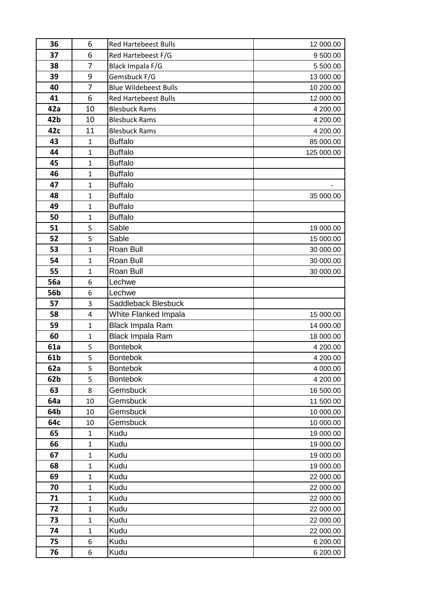| 36         | 6            | <b>Red Hartebeest Bulls</b>  | 12 000.00  |
|------------|--------------|------------------------------|------------|
| 37         | 6            | Red Hartebeest F/G           | 9 500.00   |
| 38         | 7            | Black Impala F/G             | 5 500.00   |
| 39         | 9            | Gemsbuck F/G                 | 13 000.00  |
| 40         | 7            | <b>Blue Wildebeest Bulls</b> | 10 200.00  |
| 41         | 6            | <b>Red Hartebeest Bulls</b>  | 12 000.00  |
| 42a        | 10           | <b>Blesbuck Rams</b>         | 4 200.00   |
| 42b        | 10           | <b>Blesbuck Rams</b>         | 4 200.00   |
| 42c        | 11           | <b>Blesbuck Rams</b>         | 4 200.00   |
| 43         | $\mathbf{1}$ | <b>Buffalo</b>               | 85 000.00  |
| 44         | $\mathbf{1}$ | <b>Buffalo</b>               | 125 000.00 |
| 45         | $\mathbf{1}$ | <b>Buffalo</b>               |            |
| 46         | $\mathbf{1}$ | <b>Buffalo</b>               |            |
| 47         | $\mathbf{1}$ | <b>Buffalo</b>               |            |
| 48         | $\mathbf{1}$ | <b>Buffalo</b>               | 35 000.00  |
| 49         | $\mathbf{1}$ | <b>Buffalo</b>               |            |
| 50         | $\mathbf{1}$ | <b>Buffalo</b>               |            |
| 51         | 5            | Sable                        | 19 000.00  |
| 52         | 5            | Sable                        | 15 000.00  |
| 53         | $\mathbf{1}$ | Roan Bull                    | 30 000.00  |
| 54         | $\mathbf{1}$ | Roan Bull                    | 30 000.00  |
| 55         | $\mathbf{1}$ | Roan Bull                    | 30 000.00  |
| <b>56a</b> | 6            | Lechwe                       |            |
| 56b        | 6            | Lechwe                       |            |
| 57         | 3            | Saddleback Blesbuck          |            |
| 58         | 4            | White Flanked Impala         | 15 000.00  |
| 59         | $\mathbf{1}$ | <b>Black Impala Ram</b>      | 14 000.00  |
| 60         | $\mathbf{1}$ | <b>Black Impala Ram</b>      | 18 000.00  |
| 61a        | 5            | <b>Bontebok</b>              | 4 200.00   |
| 61b        | 5            | <b>Bontebok</b>              | 4 200.00   |
| 62a        | 5            | <b>Bontebok</b>              | 4 000.00   |
| 62b        | 5            | <b>Bontebok</b>              | 4 200.00   |
| 63         | 8            | Gemsbuck                     | 16 500.00  |
| 64a        | 10           | Gemsbuck                     | 11 500.00  |
| 64b        | 10           | Gemsbuck                     | 10 000.00  |
| 64c        | 10           | Gemsbuck                     | 10 000.00  |
| 65         | $\mathbf{1}$ | Kudu                         | 19 000.00  |
| 66         | $\mathbf{1}$ | Kudu                         | 19 000.00  |
| 67         | 1            | Kudu                         | 19 000.00  |
| 68         | 1            | Kudu                         | 19 000.00  |
| 69         | $\mathbf{1}$ | Kudu                         | 22 000.00  |
| 70         | $\mathbf{1}$ | Kudu                         | 22 000.00  |
| 71         | $\mathbf{1}$ | Kudu                         | 22 000.00  |
| 72         | $\mathbf{1}$ | Kudu                         | 22 000.00  |
| 73         | $\mathbf{1}$ | Kudu                         | 22 000.00  |
| 74         | $\mathbf{1}$ | Kudu                         | 22 000.00  |
| 75         | 6            | Kudu                         | 6 200.00   |
| 76         | 6            | Kudu                         | 6 200.00   |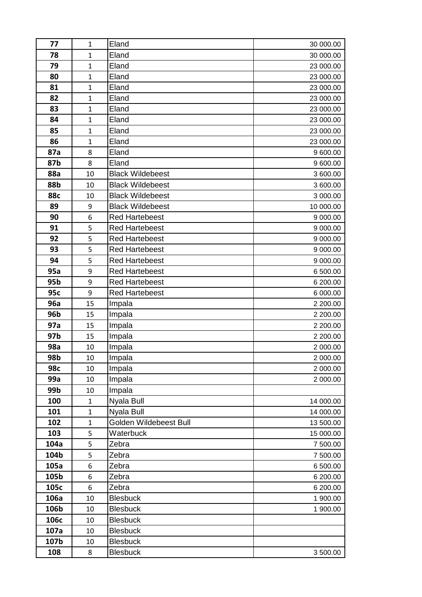| 77         | $\mathbf{1}$ | Eland                   | 30 000.00 |
|------------|--------------|-------------------------|-----------|
| 78         | $\mathbf{1}$ | Eland                   | 30 000.00 |
| 79         | $\mathbf{1}$ | Eland                   | 23 000.00 |
| 80         | $\mathbf{1}$ | Eland                   | 23 000.00 |
| 81         | $\mathbf{1}$ | Eland                   | 23 000.00 |
| 82         | $\mathbf{1}$ | Eland                   | 23 000.00 |
| 83         | $\mathbf{1}$ | Eland                   | 23 000.00 |
| 84         | $\mathbf{1}$ | Eland                   | 23 000.00 |
| 85         | $\mathbf{1}$ | Eland                   | 23 000.00 |
| 86         | $\mathbf{1}$ | Eland                   | 23 000.00 |
| 87a        | 8            | Eland                   | 9 600.00  |
| 87b        | 8            | Eland                   | 9 600.00  |
| <b>88a</b> | 10           | <b>Black Wildebeest</b> | 3 600.00  |
| 88b        | 10           | <b>Black Wildebeest</b> | 3 600.00  |
| 88c        | 10           | <b>Black Wildebeest</b> | 3 000.00  |
| 89         | 9            | <b>Black Wildebeest</b> | 10 000.00 |
| 90         | 6            | <b>Red Hartebeest</b>   | 9 000.00  |
| 91         | 5            | <b>Red Hartebeest</b>   | 9 000.00  |
| 92         | 5            | <b>Red Hartebeest</b>   | 9 000.00  |
| 93         | 5            | <b>Red Hartebeest</b>   | 9 000.00  |
| 94         | 5            | <b>Red Hartebeest</b>   | 9 000.00  |
| 95a        | 9            | <b>Red Hartebeest</b>   | 6 500.00  |
| 95b        | 9            | <b>Red Hartebeest</b>   | 6 200.00  |
| 95с        | 9            | <b>Red Hartebeest</b>   | 6 000.00  |
| 96a        | 15           | Impala                  | 2 200.00  |
| 96b        | 15           | Impala                  | 2 200.00  |
| 97a        | 15           | Impala                  | 2 200.00  |
| 97b        | 15           | Impala                  | 2 200.00  |
| 98a        | 10           | Impala                  | 2 000.00  |
| 98b        | 10           | Impala                  | 2 000.00  |
| 98c        | 10           | Impala                  | 2 000.00  |
| 99a        | 10           | Impala                  | 2 000.00  |
| 99b        | 10           | Impala                  |           |
| 100        | $\mathbf{1}$ | Nyala Bull              | 14 000.00 |
| 101        | $\mathbf{1}$ | Nyala Bull              | 14 000.00 |
| 102        | $\mathbf{1}$ | Golden Wildebeest Bull  | 13 500.00 |
| 103        | 5            | Waterbuck               | 15 000.00 |
| 104a       | 5            | Zebra                   | 7 500.00  |
| 104b       | 5            | Zebra                   | 7 500.00  |
| 105a       | 6            | Zebra                   | 6 500.00  |
| 105b       | 6            | Zebra                   | 6 200.00  |
| 105c       | 6            | Zebra                   | 6 200.00  |
| 106a       | 10           | <b>Blesbuck</b>         | 1 900.00  |
| 106b       | 10           | <b>Blesbuck</b>         | 1 900.00  |
| 106c       | 10           | <b>Blesbuck</b>         |           |
| 107a       | 10           | <b>Blesbuck</b>         |           |
| 107b       | 10           | <b>Blesbuck</b>         |           |
| 108        | 8            | <b>Blesbuck</b>         | 3 500.00  |